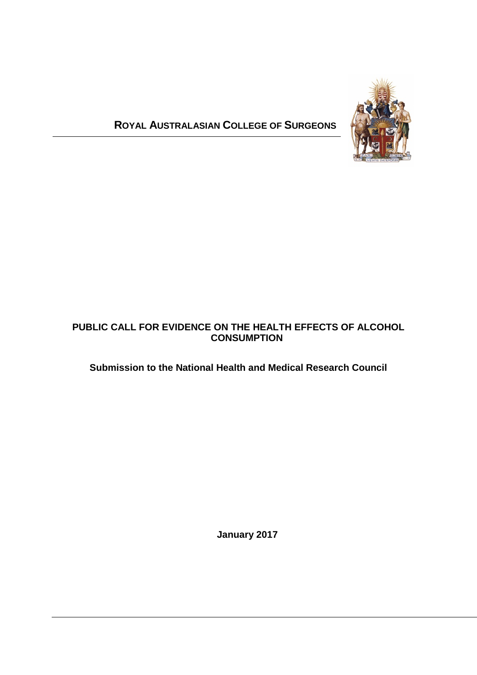# **ROYAL AUSTRALASIAN COLLEGE OF SURGEONS**



### **PUBLIC CALL FOR EVIDENCE ON THE HEALTH EFFECTS OF ALCOHOL CONSUMPTION**

## **Submission to the National Health and Medical Research Council**

 **January 2017**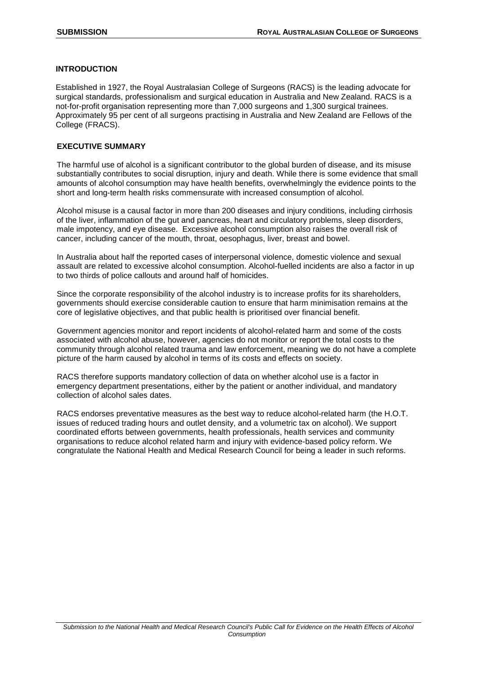#### **INTRODUCTION**

Established in 1927, the Royal Australasian College of Surgeons (RACS) is the leading advocate for surgical standards, professionalism and surgical education in Australia and New Zealand. RACS is a not-for-profit organisation representing more than 7,000 surgeons and 1,300 surgical trainees. Approximately 95 per cent of all surgeons practising in Australia and New Zealand are Fellows of the College (FRACS).

#### **EXECUTIVE SUMMARY**

The harmful use of alcohol is a significant contributor to the global burden of disease, and its misuse substantially contributes to social disruption, injury and death. While there is some evidence that small amounts of alcohol consumption may have health benefits, overwhelmingly the evidence points to the short and long-term health risks commensurate with increased consumption of alcohol.

Alcohol misuse is a causal factor in more than 200 diseases and injury conditions, including cirrhosis of the liver, inflammation of the gut and pancreas, heart and circulatory problems, sleep disorders, male impotency, and eye disease. Excessive alcohol consumption also raises the overall risk of cancer, including cancer of the mouth, throat, oesophagus, liver, breast and bowel.

In Australia about half the reported cases of interpersonal violence, domestic violence and sexual assault are related to excessive alcohol consumption. Alcohol-fuelled incidents are also a factor in up to two thirds of police callouts and around half of homicides.

Since the corporate responsibility of the alcohol industry is to increase profits for its shareholders, governments should exercise considerable caution to ensure that harm minimisation remains at the core of legislative objectives, and that public health is prioritised over financial benefit.

Government agencies monitor and report incidents of alcohol-related harm and some of the costs associated with alcohol abuse, however, agencies do not monitor or report the total costs to the community through alcohol related trauma and law enforcement, meaning we do not have a complete picture of the harm caused by alcohol in terms of its costs and effects on society.

RACS therefore supports mandatory collection of data on whether alcohol use is a factor in emergency department presentations, either by the patient or another individual, and mandatory collection of alcohol sales dates.

RACS endorses preventative measures as the best way to reduce alcohol-related harm (the H.O.T. issues of reduced trading hours and outlet density, and a volumetric tax on alcohol). We support coordinated efforts between governments, health professionals, health services and community organisations to reduce alcohol related harm and injury with evidence-based policy reform. We congratulate the National Health and Medical Research Council for being a leader in such reforms.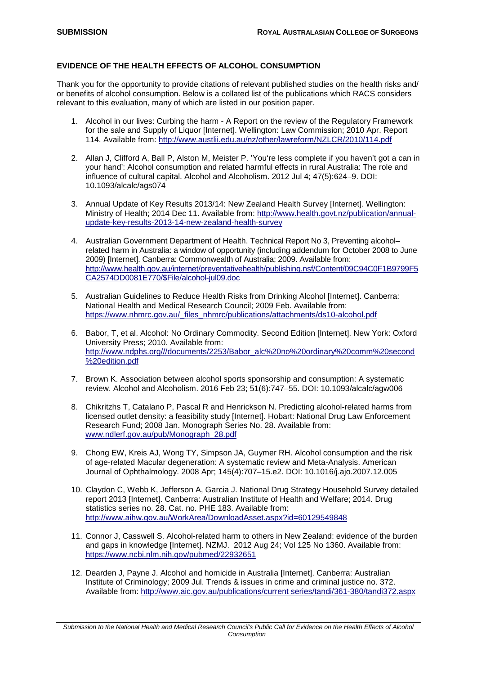#### **EVIDENCE OF THE HEALTH EFFECTS OF ALCOHOL CONSUMPTION**

Thank you for the opportunity to provide citations of relevant published studies on the health risks and/ or benefits of alcohol consumption. Below is a collated list of the publications which RACS considers relevant to this evaluation, many of which are listed in our position paper.

- 1. Alcohol in our lives: Curbing the harm A Report on the review of the Regulatory Framework for the sale and Supply of Liquor [Internet]. Wellington: Law Commission; 2010 Apr. Report 114. Available from:<http://www.austlii.edu.au/nz/other/lawreform/NZLCR/2010/114.pdf>
- 2. Allan J, Clifford A, Ball P, Alston M, Meister P. 'You're less complete if you haven't got a can in your hand': Alcohol consumption and related harmful effects in rural Australia: The role and influence of cultural capital. Alcohol and Alcoholism. 2012 Jul 4; 47(5):624–9. DOI: 10.1093/alcalc/ags074
- 3. Annual Update of Key Results 2013/14: New Zealand Health Survey [Internet]. Wellington: Ministry of Health; 2014 Dec 11. Available from: [http://www.health.govt.nz/publication/annual](http://www.health.govt.nz/publication/annual-update-key-results-2013-14-new-zealand-health-survey)[update-key-results-2013-14-new-zealand-health-survey](http://www.health.govt.nz/publication/annual-update-key-results-2013-14-new-zealand-health-survey)
- 4. Australian Government Department of Health. Technical Report No 3, Preventing alcohol– related harm in Australia: a window of opportunity (including addendum for October 2008 to June 2009) [Internet]. Canberra: Commonwealth of Australia; 2009. Available from: [http://www.health.gov.au/internet/preventativehealth/publishing.nsf/Content/09C94C0F1B9799F5](http://www.health.gov.au/internet/preventativehealth/publishing.nsf/Content/09C94C0F1B9799F5CA2574DD0081E770/$File/alcohol-jul09.doc) [CA2574DD0081E770/\\$File/alcohol-jul09.doc](http://www.health.gov.au/internet/preventativehealth/publishing.nsf/Content/09C94C0F1B9799F5CA2574DD0081E770/$File/alcohol-jul09.doc)
- 5. Australian Guidelines to Reduce Health Risks from Drinking Alcohol [Internet]. Canberra: National Health and Medical Research Council; 2009 Feb. Available from: [https://www.nhmrc.gov.au/\\_files\\_nhmrc/publications/attachments/ds10-alcohol.pdf](https://www.nhmrc.gov.au/_files_nhmrc/publications/attachments/ds10-alcohol.pdf)
- 6. Babor, T, et al. Alcohol: No Ordinary Commodity. Second Edition [Internet]. New York: Oxford University Press; 2010. Available from: [http://www.ndphs.org///documents/2253/Babor\\_alc%20no%20ordinary%20comm%20second](http://www.ndphs.org/documents/2253/Babor_alc%20no%20ordinary%20comm%20second%20edition.pdf) [%20edition.pdf](http://www.ndphs.org/documents/2253/Babor_alc%20no%20ordinary%20comm%20second%20edition.pdf)
- 7. Brown K. Association between alcohol sports sponsorship and consumption: A systematic review. Alcohol and Alcoholism. 2016 Feb 23; 51(6):747–55. DOI: 10.1093/alcalc/agw006
- 8. Chikritzhs T, Catalano P, Pascal R and Henrickson N. Predicting alcohol-related harms from licensed outlet density: a feasibility study [Internet]. Hobart: National Drug Law Enforcement Research Fund; 2008 Jan. Monograph Series No. 28. Available from: [www.ndlerf.gov.au/pub/Monograph\\_28.pdf](http://www.ndlerf.gov.au/pub/Monograph_28.pdf)
- 9. Chong EW, Kreis AJ, Wong TY, Simpson JA, Guymer RH. Alcohol consumption and the risk of age-related Macular degeneration: A systematic review and Meta-Analysis. American Journal of Ophthalmology. 2008 Apr; 145(4):707–15.e2. DOI: 10.1016/j.ajo.2007.12.005
- 10. Claydon C, Webb K, Jefferson A, Garcia J. National Drug Strategy Household Survey detailed report 2013 [Internet]. Canberra: Australian Institute of Health and Welfare; 2014. Drug statistics series no. 28. Cat. no. PHE 183. Available from: <http://www.aihw.gov.au/WorkArea/DownloadAsset.aspx?id=60129549848>
- 11. Connor J, Casswell S. Alcohol-related harm to others in New Zealand: evidence of the burden and gaps in knowledge [Internet]. NZMJ. 2012 Aug 24; Vol 125 No 1360. Available from: <https://www.ncbi.nlm.nih.gov/pubmed/22932651>
- 12. Dearden J, Payne J. Alcohol and homicide in Australia [Internet]. Canberra: Australian Institute of Criminology; 2009 Jul. Trends & issues in crime and criminal justice no. 372. Available from: [http://www.aic.gov.au/publications/current series/tandi/361-380/tandi372.aspx](http://www.aic.gov.au/publications/current%20series/tandi/361-380/tandi372.aspx)

*Submission to the National Health and Medical Research Council's Public Call for Evidence on the Health Effects of Alcohol Consumption*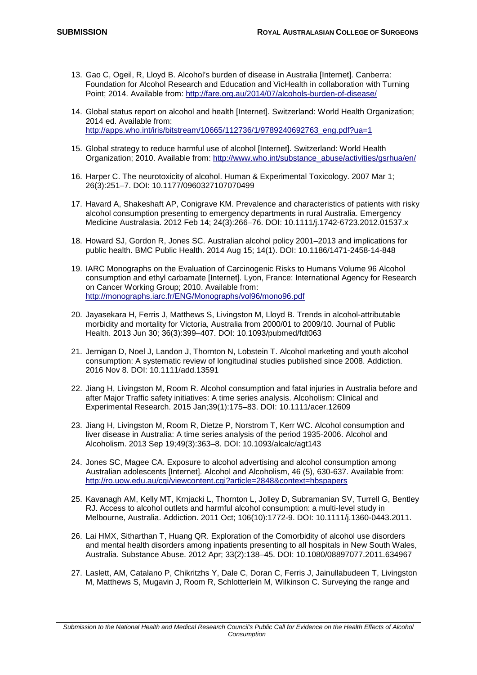- 13. Gao C, Ogeil, R, Lloyd B. Alcohol's burden of disease in Australia [Internet]. Canberra: Foundation for Alcohol Research and Education and VicHealth in collaboration with Turning Point; 2014. Available from:<http://fare.org.au/2014/07/alcohols-burden-of-disease/>
- 14. Global status report on alcohol and health [Internet]. Switzerland: World Health Organization; 2014 ed. Available from: [http://apps.who.int/iris/bitstream/10665/112736/1/9789240692763\\_eng.pdf?ua=1](http://apps.who.int/iris/bitstream/10665/112736/1/9789240692763_eng.pdf?ua=1)
- 15. Global strategy to reduce harmful use of alcohol [Internet]. Switzerland: World Health Organization; 2010. Available from: [http://www.who.int/substance\\_abuse/activities/gsrhua/en/](http://www.who.int/substance_abuse/activities/gsrhua/en/)
- 16. Harper C. The neurotoxicity of alcohol. Human & Experimental Toxicology. 2007 Mar 1; 26(3):251–7. DOI: 10.1177/0960327107070499
- 17. Havard A, Shakeshaft AP, Conigrave KM. Prevalence and characteristics of patients with risky alcohol consumption presenting to emergency departments in rural Australia. Emergency Medicine Australasia. 2012 Feb 14; 24(3):266–76. DOI: 10.1111/j.1742-6723.2012.01537.x
- 18. Howard SJ, Gordon R, Jones SC. Australian alcohol policy 2001–2013 and implications for public health. BMC Public Health. 2014 Aug 15; 14(1). DOI: 10.1186/1471-2458-14-848
- 19. IARC Monographs on the Evaluation of Carcinogenic Risks to Humans Volume 96 Alcohol consumption and ethyl carbamate [Internet]. Lyon, France: International Agency for Research on Cancer Working Group; 2010. Available from: <http://monographs.iarc.fr/ENG/Monographs/vol96/mono96.pdf>
- 20. Jayasekara H, Ferris J, Matthews S, Livingston M, Lloyd B. Trends in alcohol-attributable morbidity and mortality for Victoria, Australia from 2000/01 to 2009/10. Journal of Public Health. 2013 Jun 30; 36(3):399–407. DOI: 10.1093/pubmed/fdt063
- 21. Jernigan D, Noel J, Landon J, Thornton N, Lobstein T. Alcohol marketing and youth alcohol consumption: A systematic review of longitudinal studies published since 2008. Addiction. 2016 Nov 8. DOI: 10.1111/add.13591
- 22. Jiang H, Livingston M, Room R. Alcohol consumption and fatal injuries in Australia before and after Major Traffic safety initiatives: A time series analysis. Alcoholism: Clinical and Experimental Research. 2015 Jan;39(1):175–83. DOI: 10.1111/acer.12609
- 23. Jiang H, Livingston M, Room R, Dietze P, Norstrom T, Kerr WC. Alcohol consumption and liver disease in Australia: A time series analysis of the period 1935-2006. Alcohol and Alcoholism. 2013 Sep 19;49(3):363–8. DOI: 10.1093/alcalc/agt143
- 24. Jones SC, Magee CA. Exposure to alcohol advertising and alcohol consumption among Australian adolescents [Internet]. Alcohol and Alcoholism, 46 (5), 630-637. Available from: <http://ro.uow.edu.au/cgi/viewcontent.cgi?article=2848&context=hbspapers>
- 25. Kavanagh AM, Kelly MT, Krnjacki L, Thornton L, Jolley D, Subramanian SV, Turrell G, Bentley RJ. Access to alcohol outlets and harmful alcohol consumption: a multi-level study in Melbourne, Australia. Addiction. 2011 Oct; 106(10):1772-9. DOI: 10.1111/j.1360-0443.2011.
- 26. Lai HMX, Sitharthan T, Huang QR. Exploration of the Comorbidity of alcohol use disorders and mental health disorders among inpatients presenting to all hospitals in New South Wales, Australia. Substance Abuse. 2012 Apr; 33(2):138–45. DOI: 10.1080/08897077.2011.634967
- 27. Laslett, AM, Catalano P, Chikritzhs Y, Dale C, Doran C, Ferris J, Jainullabudeen T, Livingston M, Matthews S, Mugavin J, Room R, Schlotterlein M, Wilkinson C. Surveying the range and

*Submission to the National Health and Medical Research Council's Public Call for Evidence on the Health Effects of Alcohol Consumption*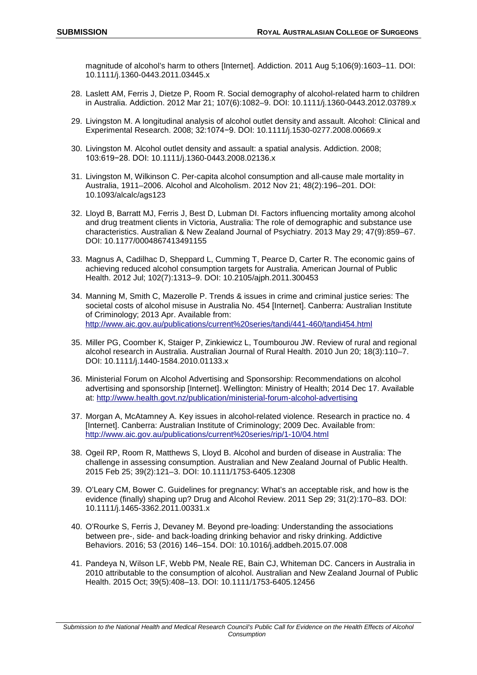magnitude of alcohol's harm to others [Internet]. Addiction. 2011 Aug 5;106(9):1603–11. DOI: 10.1111/j.1360-0443.2011.03445.x

- 28. Laslett AM, Ferris J, Dietze P, Room R. Social demography of alcohol-related harm to children in Australia. Addiction. 2012 Mar 21; 107(6):1082–9. DOI: 10.1111/j.1360-0443.2012.03789.x
- 29. Livingston M. A longitudinal analysis of alcohol outlet density and assault. Alcohol: Clinical and Experimental Research. 2008; 32:1074−9. DOI: 10.1111/j.1530-0277.2008.00669.x
- 30. Livingston M. Alcohol outlet density and assault: a spatial analysis. Addiction. 2008; 103:619−28. DOI: 10.1111/j.1360-0443.2008.02136.x
- 31. Livingston M, Wilkinson C. Per-capita alcohol consumption and all-cause male mortality in Australia, 1911–2006. Alcohol and Alcoholism. 2012 Nov 21; 48(2):196–201. DOI: 10.1093/alcalc/ags123
- 32. Lloyd B, Barratt MJ, Ferris J, Best D, Lubman DI. Factors influencing mortality among alcohol and drug treatment clients in Victoria, Australia: The role of demographic and substance use characteristics. Australian & New Zealand Journal of Psychiatry. 2013 May 29; 47(9):859–67. DOI: 10.1177/0004867413491155
- 33. Magnus A, Cadilhac D, Sheppard L, Cumming T, Pearce D, Carter R. The economic gains of achieving reduced alcohol consumption targets for Australia. American Journal of Public Health. 2012 Jul; 102(7):1313–9. DOI: 10.2105/ajph.2011.300453
- 34. Manning M, Smith C, Mazerolle P. Trends & issues in crime and criminal justice series: The societal costs of alcohol misuse in Australia No. 454 [Internet]. Canberra: Australian Institute of Criminology; 2013 Apr. Available from: <http://www.aic.gov.au/publications/current%20series/tandi/441-460/tandi454.html>
- 35. Miller PG, Coomber K, Staiger P, Zinkiewicz L, Toumbourou JW. Review of rural and regional alcohol research in Australia. Australian Journal of Rural Health. 2010 Jun 20; 18(3):110–7. DOI: 10.1111/j.1440-1584.2010.01133.x
- 36. Ministerial Forum on Alcohol Advertising and Sponsorship: Recommendations on alcohol advertising and sponsorship [Internet]. Wellington: Ministry of Health; 2014 Dec 17. Available at:<http://www.health.govt.nz/publication/ministerial-forum-alcohol-advertising>
- 37. Morgan A, McAtamney A. Key issues in alcohol-related violence. Research in practice no. 4 [Internet]. Canberra: Australian Institute of Criminology; 2009 Dec. Available from: <http://www.aic.gov.au/publications/current%20series/rip/1-10/04.html>
- 38. Ogeil RP, Room R, Matthews S, Lloyd B. Alcohol and burden of disease in Australia: The challenge in assessing consumption. Australian and New Zealand Journal of Public Health. 2015 Feb 25; 39(2):121–3. DOI: 10.1111/1753-6405.12308
- 39. O'Leary CM, Bower C. Guidelines for pregnancy: What's an acceptable risk, and how is the evidence (finally) shaping up? Drug and Alcohol Review. 2011 Sep 29; 31(2):170–83. DOI: 10.1111/j.1465-3362.2011.00331.x
- 40. O'Rourke S, Ferris J, Devaney M. Beyond pre-loading: Understanding the associations between pre-, side- and back-loading drinking behavior and risky drinking. Addictive Behaviors. 2016; 53 (2016) 146–154. DOI: 10.1016/j.addbeh.2015.07.008
- 41. Pandeya N, Wilson LF, Webb PM, Neale RE, Bain CJ, Whiteman DC. Cancers in Australia in 2010 attributable to the consumption of alcohol. Australian and New Zealand Journal of Public Health. 2015 Oct; 39(5):408–13. DOI: 10.1111/1753-6405.12456

*Submission to the National Health and Medical Research Council's Public Call for Evidence on the Health Effects of Alcohol Consumption*